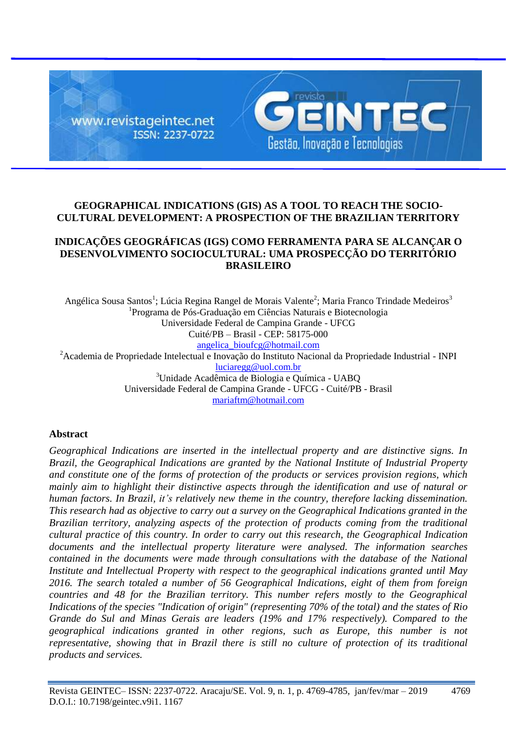

## **GEOGRAPHICAL INDICATIONS (GIS) AS A TOOL TO REACH THE SOCIO-CULTURAL DEVELOPMENT: A PROSPECTION OF THE BRAZILIAN TERRITORY**

# **INDICAÇÕES GEOGRÁFICAS (IGS) COMO FERRAMENTA PARA SE ALCANÇAR O DESENVOLVIMENTO SOCIOCULTURAL: UMA PROSPECÇÃO DO TERRITÓRIO BRASILEIRO**

Angélica Sousa Santos<sup>1</sup>; Lúcia Regina Rangel de Morais Valente<sup>2</sup>; Maria Franco Trindade Medeiros<sup>3</sup> 1 Programa de Pós-Graduação em Ciências Naturais e Biotecnologia Universidade Federal de Campina Grande - UFCG Cuité/PB – Brasil - CEP: 58175-000 [angelica\\_bioufcg@hotmail.com](mailto:angelica_bioufcg@hotmail.com) <sup>2</sup> Academia de Propriedade Intelectual e Inovação do Instituto Nacional da Propriedade Industrial - INPI [luciaregg@uol.com.br](mailto:luciaregg@uol.com.br) <sup>3</sup>Unidade Acadêmica de Biologia e Química - UABQ Universidade Federal de Campina Grande - UFCG - Cuité/PB - Brasil [mariaftm@hotmail.com](mailto:mariaftm@hotmail.com)

### **Abstract**

*Geographical Indications are inserted in the intellectual property and are distinctive signs. In Brazil, the Geographical Indications are granted by the National Institute of Industrial Property and constitute one of the forms of protection of the products or services provision regions, which mainly aim to highlight their distinctive aspects through the identification and use of natural or human factors. In Brazil, it's relatively new theme in the country, therefore lacking dissemination. This research had as objective to carry out a survey on the Geographical Indications granted in the Brazilian territory, analyzing aspects of the protection of products coming from the traditional cultural practice of this country. In order to carry out this research, the Geographical Indication documents and the intellectual property literature were analysed. The information searches contained in the documents were made through consultations with the database of the National Institute and Intellectual Property with respect to the geographical indications granted until May 2016. The search totaled a number of 56 Geographical Indications, eight of them from foreign countries and 48 for the Brazilian territory. This number refers mostly to the Geographical Indications of the species "Indication of origin" (representing 70% of the total) and the states of Rio Grande do Sul and Minas Gerais are leaders (19% and 17% respectively). Compared to the geographical indications granted in other regions, such as Europe, this number is not representative, showing that in Brazil there is still no culture of protection of its traditional products and services.*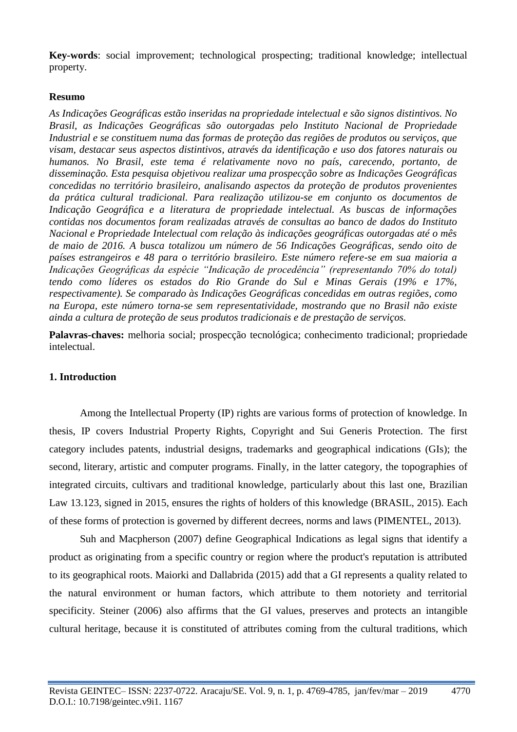**Key-words**: social improvement; technological prospecting; traditional knowledge; intellectual property.

### **Resumo**

*As Indicações Geográficas estão inseridas na propriedade intelectual e são signos distintivos. No Brasil, as Indicações Geográficas são outorgadas pelo Instituto Nacional de Propriedade Industrial e se constituem numa das formas de proteção das regiões de produtos ou serviços, que visam, destacar seus aspectos distintivos, através da identificação e uso dos fatores naturais ou humanos. No Brasil, este tema é relativamente novo no país, carecendo, portanto, de disseminação. Esta pesquisa objetivou realizar uma prospecção sobre as Indicações Geográficas concedidas no território brasileiro, analisando aspectos da proteção de produtos provenientes da prática cultural tradicional. Para realização utilizou-se em conjunto os documentos de Indicação Geográfica e a literatura de propriedade intelectual. As buscas de informações contidas nos documentos foram realizadas através de consultas ao banco de dados do Instituto Nacional e Propriedade Intelectual com relação às indicações geográficas outorgadas até o mês de maio de 2016. A busca totalizou um número de 56 Indicações Geográficas, sendo oito de países estrangeiros e 48 para o território brasileiro. Este número refere-se em sua maioria a Indicações Geográficas da espécie "Indicação de procedência" (representando 70% do total) tendo como líderes os estados do Rio Grande do Sul e Minas Gerais (19% e 17%, respectivamente). Se comparado às Indicações Geográficas concedidas em outras regiões, como na Europa, este número torna-se sem representatividade, mostrando que no Brasil não existe ainda a cultura de proteção de seus produtos tradicionais e de prestação de serviços.*

Palavras-chaves: melhoria social; prospecção tecnológica; conhecimento tradicional; propriedade intelectual.

### **1. Introduction**

Among the Intellectual Property (IP) rights are various forms of protection of knowledge. In thesis, IP covers Industrial Property Rights, Copyright and Sui Generis Protection. The first category includes patents, industrial designs, trademarks and geographical indications (GIs); the second, literary, artistic and computer programs. Finally, in the latter category, the topographies of integrated circuits, cultivars and traditional knowledge, particularly about this last one, Brazilian Law 13.123, signed in 2015, ensures the rights of holders of this knowledge (BRASIL, 2015). Each of these forms of protection is governed by different decrees, norms and laws (PIMENTEL, 2013).

Suh and Macpherson (2007) define Geographical Indications as legal signs that identify a product as originating from a specific country or region where the product's reputation is attributed to its geographical roots. Maiorki and Dallabrida (2015) add that a GI represents a quality related to the natural environment or human factors, which attribute to them notoriety and territorial specificity. Steiner (2006) also affirms that the GI values, preserves and protects an intangible cultural heritage, because it is constituted of attributes coming from the cultural traditions, which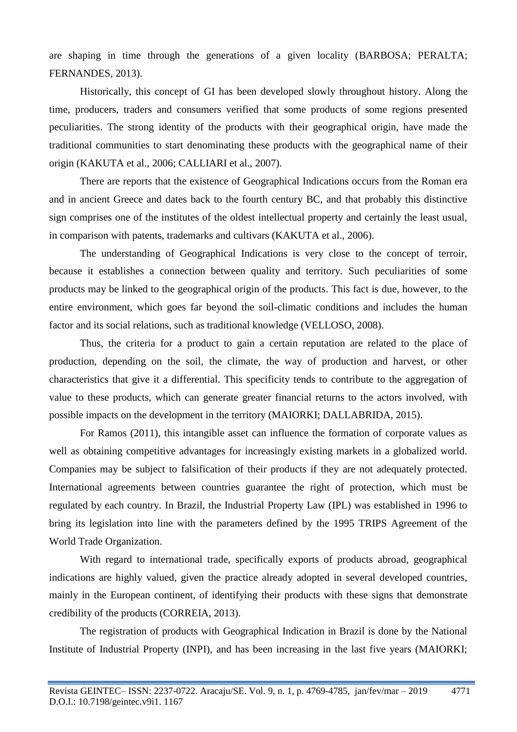are shaping in time through the generations of a given locality (BARBOSA; PERALTA; FERNANDES, 2013).

Historically, this concept of GI has been developed slowly throughout history. Along the time, producers, traders and consumers verified that some products of some regions presented peculiarities. The strong identity of the products with their geographical origin, have made the traditional communities to start denominating these products with the geographical name of their origin (KAKUTA et al., 2006; CALLIARI et al., 2007).

There are reports that the existence of Geographical Indications occurs from the Roman era and in ancient Greece and dates back to the fourth century BC, and that probably this distinctive sign comprises one of the institutes of the oldest intellectual property and certainly the least usual, in comparison with patents, trademarks and cultivars (KAKUTA et al., 2006).

The understanding of Geographical Indications is very close to the concept of terroir, because it establishes a connection between quality and territory. Such peculiarities of some products may be linked to the geographical origin of the products. This fact is due, however, to the entire environment, which goes far beyond the soil-climatic conditions and includes the human factor and its social relations, such as traditional knowledge (VELLOSO, 2008).

Thus, the criteria for a product to gain a certain reputation are related to the place of production, depending on the soil, the climate, the way of production and harvest, or other characteristics that give it a differential. This specificity tends to contribute to the aggregation of value to these products, which can generate greater financial returns to the actors involved, with possible impacts on the development in the territory (MAIORKI; DALLABRIDA, 2015).

For Ramos (2011), this intangible asset can influence the formation of corporate values as well as obtaining competitive advantages for increasingly existing markets in a globalized world. Companies may be subject to falsification of their products if they are not adequately protected. International agreements between countries guarantee the right of protection, which must be regulated by each country. In Brazil, the Industrial Property Law (IPL) was established in 1996 to bring its legislation into line with the parameters defined by the 1995 TRIPS Agreement of the World Trade Organization.

With regard to international trade, specifically exports of products abroad, geographical indications are highly valued, given the practice already adopted in several developed countries, mainly in the European continent, of identifying their products with these signs that demonstrate credibility of the products (CORREIA, 2013).

The registration of products with Geographical Indication in Brazil is done by the National Institute of Industrial Property (INPI), and has been increasing in the last five years (MAIORKI;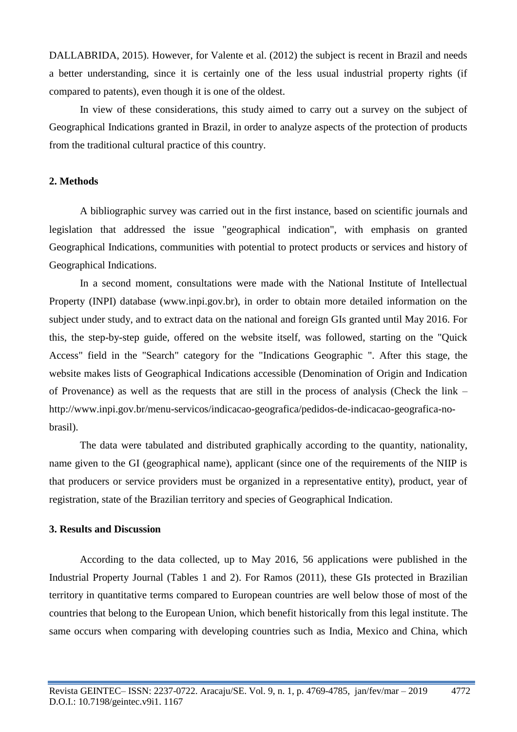DALLABRIDA, 2015). However, for Valente et al. (2012) the subject is recent in Brazil and needs a better understanding, since it is certainly one of the less usual industrial property rights (if compared to patents), even though it is one of the oldest.

In view of these considerations, this study aimed to carry out a survey on the subject of Geographical Indications granted in Brazil, in order to analyze aspects of the protection of products from the traditional cultural practice of this country.

#### **2. Methods**

A bibliographic survey was carried out in the first instance, based on scientific journals and legislation that addressed the issue "geographical indication", with emphasis on granted Geographical Indications, communities with potential to protect products or services and history of Geographical Indications.

In a second moment, consultations were made with the National Institute of Intellectual Property (INPI) database (www.inpi.gov.br), in order to obtain more detailed information on the subject under study, and to extract data on the national and foreign GIs granted until May 2016. For this, the step-by-step guide, offered on the website itself, was followed, starting on the "Quick Access" field in the "Search" category for the "Indications Geographic ". After this stage, the website makes lists of Geographical Indications accessible (Denomination of Origin and Indication of Provenance) as well as the requests that are still in the process of analysis (Check the link – [http://www.inpi.gov.br/menu-servicos/indicacao-geografica/pedidos-de-indicacao-geografica-no](http://www.inpi.gov.br/menu-servicos/indicacao-geografica/pedidos-de-indicacao-geografica-no-brasil)[brasil\)](http://www.inpi.gov.br/menu-servicos/indicacao-geografica/pedidos-de-indicacao-geografica-no-brasil).

The data were tabulated and distributed graphically according to the quantity, nationality, name given to the GI (geographical name), applicant (since one of the requirements of the NIIP is that producers or service providers must be organized in a representative entity), product, year of registration, state of the Brazilian territory and species of Geographical Indication.

#### **3. Results and Discussion**

According to the data collected, up to May 2016, 56 applications were published in the Industrial Property Journal (Tables 1 and 2). For Ramos (2011), these GIs protected in Brazilian territory in quantitative terms compared to European countries are well below those of most of the countries that belong to the European Union, which benefit historically from this legal institute. The same occurs when comparing with developing countries such as India, Mexico and China, which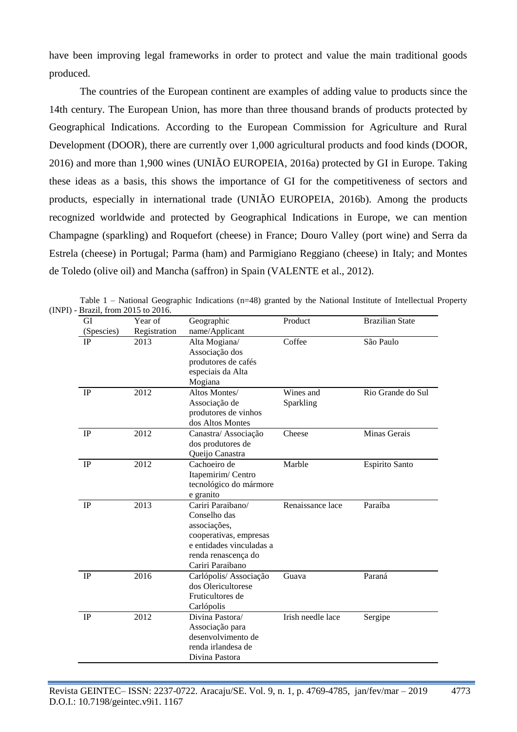have been improving legal frameworks in order to protect and value the main traditional goods produced.

The countries of the European continent are examples of adding value to products since the 14th century. The European Union, has more than three thousand brands of products protected by Geographical Indications. According to the European Commission for Agriculture and Rural Development (DOOR), there are currently over 1,000 agricultural products and food kinds (DOOR, 2016) and more than 1,900 wines (UNIÃO EUROPEIA, 2016a) protected by GI in Europe. Taking these ideas as a basis, this shows the importance of GI for the competitiveness of sectors and products, especially in international trade (UNIÃO EUROPEIA, 2016b). Among the products recognized worldwide and protected by Geographical Indications in Europe, we can mention Champagne (sparkling) and Roquefort (cheese) in France; Douro Valley (port wine) and Serra da Estrela (cheese) in Portugal; Parma (ham) and Parmigiano Reggiano (cheese) in Italy; and Montes de Toledo (olive oil) and Mancha (saffron) in Spain (VALENTE et al., 2012).

| GI         | Year of      | Geographic                                                                                                                                         | Product                | <b>Brazilian State</b> |
|------------|--------------|----------------------------------------------------------------------------------------------------------------------------------------------------|------------------------|------------------------|
| (Spescies) | Registration | name/Applicant                                                                                                                                     |                        |                        |
| <b>IP</b>  | 2013         | Alta Mogiana/<br>Associação dos<br>produtores de cafés<br>especiais da Alta<br>Mogiana                                                             | Coffee                 | São Paulo              |
| IP         | 2012         | Altos Montes/<br>Associação de<br>produtores de vinhos<br>dos Altos Montes                                                                         | Wines and<br>Sparkling | Rio Grande do Sul      |
| IP         | 2012         | Canastra/Associação<br>dos produtores de<br>Queijo Canastra                                                                                        | Cheese                 | Minas Gerais           |
| IP         | 2012         | Cachoeiro de<br>Itapemirim/Centro<br>tecnológico do mármore<br>e granito                                                                           | Marble                 | Espirito Santo         |
| IP         | 2013         | Cariri Paraibano/<br>Conselho das<br>associações,<br>cooperativas, empresas<br>e entidades vinculadas a<br>renda renascença do<br>Cariri Paraibano | Renaissance lace       | Paraíba                |
| IP         | 2016         | Carlópolis/ Associação<br>dos Olericultorese<br>Fruticultores de<br>Carlópolis                                                                     | Guava                  | Paraná                 |
| IP         | 2012         | Divina Pastora/<br>Associação para<br>desenvolvimento de<br>renda irlandesa de<br>Divina Pastora                                                   | Irish needle lace      | Sergipe                |

Table 1 – National Geographic Indications (n=48) granted by the National Institute of Intellectual Property  $(INPI) - Bi$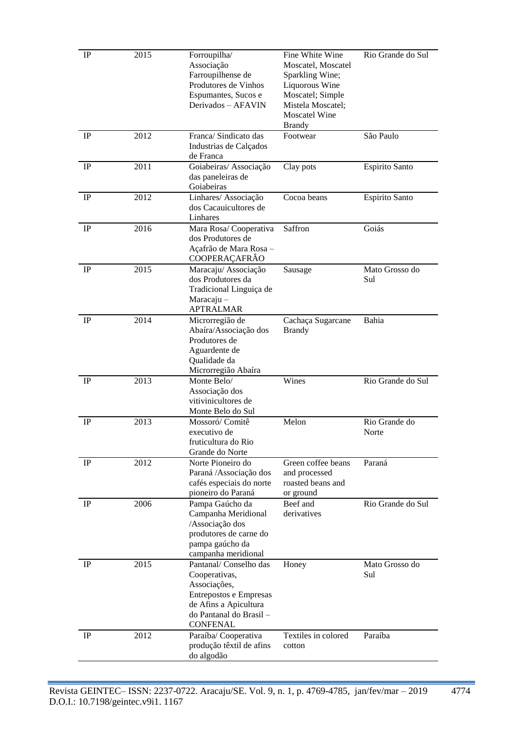| $_{\rm IP}$ | 2015 | Forroupilha/<br>Associação<br>Farroupilhense de<br>Produtores de Vinhos<br>Espumantes, Sucos e<br>Derivados - AFAVIN                                    | Fine White Wine<br>Moscatel, Moscatel<br>Sparkling Wine;<br>Liquorous Wine<br>Moscatel; Simple<br>Mistela Moscatel;<br><b>Moscatel Wine</b><br><b>Brandy</b> | Rio Grande do Sul      |
|-------------|------|---------------------------------------------------------------------------------------------------------------------------------------------------------|--------------------------------------------------------------------------------------------------------------------------------------------------------------|------------------------|
| IP          | 2012 | Franca/ Sindicato das<br>Industrias de Calçados<br>de Franca                                                                                            | Footwear                                                                                                                                                     | São Paulo              |
| IP          | 2011 | Goiabeiras/ Associação<br>das paneleiras de<br>Goiabeiras                                                                                               | Clay pots                                                                                                                                                    | Espirito Santo         |
| IP          | 2012 | Linhares/ Associação<br>dos Cacauicultores de<br>Linhares                                                                                               | Cocoa beans                                                                                                                                                  | Espirito Santo         |
| IP          | 2016 | Mara Rosa/Cooperativa<br>dos Produtores de<br>Açafrão de Mara Rosa -<br>COOPERAÇAFRÂO                                                                   | Saffron                                                                                                                                                      | Goiás                  |
| IP          | 2015 | Maracaju/ Associação<br>dos Produtores da<br>Tradicional Linguiça de<br>$Maracaju -$<br><b>APTRALMAR</b>                                                | Sausage                                                                                                                                                      | Mato Grosso do<br>Sul  |
| IP          | 2014 | Microrregião de<br>Abaíra/Associação dos<br>Produtores de<br>Aguardente de<br>Qualidade da<br>Microrregião Abaíra                                       | Cachaça Sugarcane<br><b>Brandy</b>                                                                                                                           | Bahia                  |
| IP          | 2013 | Monte Belo/<br>Associação dos<br>vitivinicultores de<br>Monte Belo do Sul                                                                               | Wines                                                                                                                                                        | Rio Grande do Sul      |
| IP          | 2013 | Mossoró/Comitê<br>executivo de<br>fruticultura do Rio<br>Grande do Norte                                                                                | Melon                                                                                                                                                        | Rio Grande do<br>Norte |
| IP          | 2012 | Norte Pioneiro do<br>Paraná /Associação dos<br>cafés especiais do norte<br>pioneiro do Paraná                                                           | Green coffee beans<br>and processed<br>roasted beans and<br>or ground                                                                                        | Paraná                 |
| $_{\rm IP}$ | 2006 | Pampa Gaúcho da<br>Campanha Meridional<br>/Associação dos<br>produtores de carne do<br>pampa gaúcho da<br>campanha meridional                           | Beef and<br>derivatives                                                                                                                                      | Rio Grande do Sul      |
| IP          | 2015 | Pantanal/Conselho das<br>Cooperativas,<br>Associações,<br>Entrepostos e Empresas<br>de Afins a Apicultura<br>do Pantanal do Brasil -<br><b>CONFENAL</b> | Honey                                                                                                                                                        | Mato Grosso do<br>Sul  |
| $_{\rm IP}$ | 2012 | Paraíba/Cooperativa<br>produção têxtil de afins<br>do algodão                                                                                           | Textiles in colored<br>cotton                                                                                                                                | Paraíba                |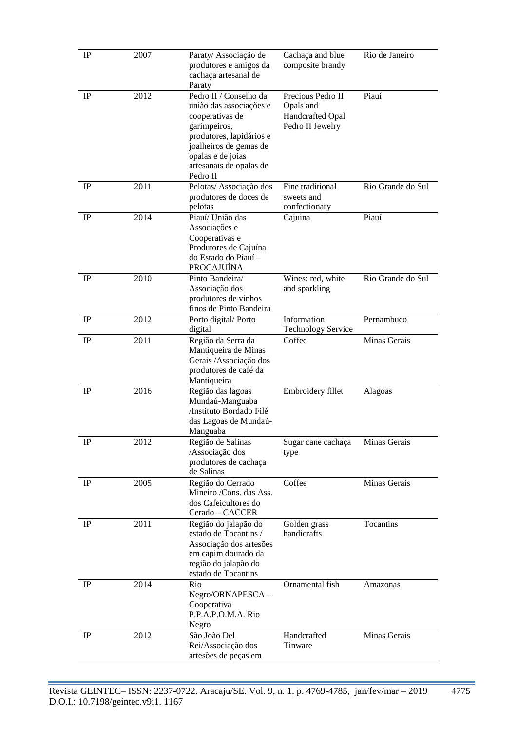| $_{\rm IP}$ | 2007 | Paraty/ Associação de<br>produtores e amigos da<br>cachaça artesanal de<br>Paraty                                                                                                                      | Cachaça and blue<br>composite brandy                                   | Rio de Janeiro    |
|-------------|------|--------------------------------------------------------------------------------------------------------------------------------------------------------------------------------------------------------|------------------------------------------------------------------------|-------------------|
| IP          | 2012 | Pedro II / Conselho da<br>união das associações e<br>cooperativas de<br>garimpeiros,<br>produtores, lapidários e<br>joalheiros de gemas de<br>opalas e de joias<br>artesanais de opalas de<br>Pedro II | Precious Pedro II<br>Opals and<br>Handcrafted Opal<br>Pedro II Jewelry | Piauí             |
| $_{\rm IP}$ | 2011 | Pelotas/ Associação dos<br>produtores de doces de<br>pelotas                                                                                                                                           | Fine traditional<br>sweets and<br>confectionary                        | Rio Grande do Sul |
| IP          | 2014 | Piauí/ União das<br>Associações e<br>Cooperativas e<br>Produtores de Cajuína<br>do Estado do Piauí -<br><b>PROCAJUÍNA</b>                                                                              | Cajuina                                                                | Piauí             |
| $_{\rm IP}$ | 2010 | Pinto Bandeira/<br>Associação dos<br>produtores de vinhos<br>finos de Pinto Bandeira                                                                                                                   | Wines: red, white<br>and sparkling                                     | Rio Grande do Sul |
| IP          | 2012 | Porto digital/Porto<br>digital                                                                                                                                                                         | Information<br><b>Technology Service</b>                               | Pernambuco        |
| IP          | 2011 | Região da Serra da<br>Mantiqueira de Minas<br>Gerais / Associação dos<br>produtores de café da<br>Mantiqueira                                                                                          | Coffee                                                                 | Minas Gerais      |
| IP          | 2016 | Região das lagoas<br>Mundaú-Manguaba<br>/Instituto Bordado Filé<br>das Lagoas de Mundaú-<br>Manguaba                                                                                                   | Embroidery fillet                                                      | Alagoas           |
| $_{\rm IP}$ | 2012 | Região de Salinas<br>/Associação dos<br>produtores de cachaça<br>de Salinas                                                                                                                            | Sugar cane cachaça<br>type                                             | Minas Gerais      |
| IP          | 2005 | Região do Cerrado<br>Mineiro /Cons. das Ass.<br>dos Cafeicultores do<br>Cerado – CACCER                                                                                                                | Coffee                                                                 | Minas Gerais      |
| IP          | 2011 | Região do jalapão do<br>estado de Tocantins /<br>Associação dos artesões<br>em capim dourado da<br>região do jalapão do<br>estado de Tocantins                                                         | Golden grass<br>handicrafts                                            | Tocantins         |
| IP          | 2014 | Rio<br>Negro/ORNAPESCA-<br>Cooperativa<br>P.P.A.P.O.M.A. Rio<br>Negro                                                                                                                                  | Ornamental fish                                                        | Amazonas          |
| IP          | 2012 | São João Del<br>Rei/Associação dos<br>artesões de peças em                                                                                                                                             | Handcrafted<br>Tinware                                                 | Minas Gerais      |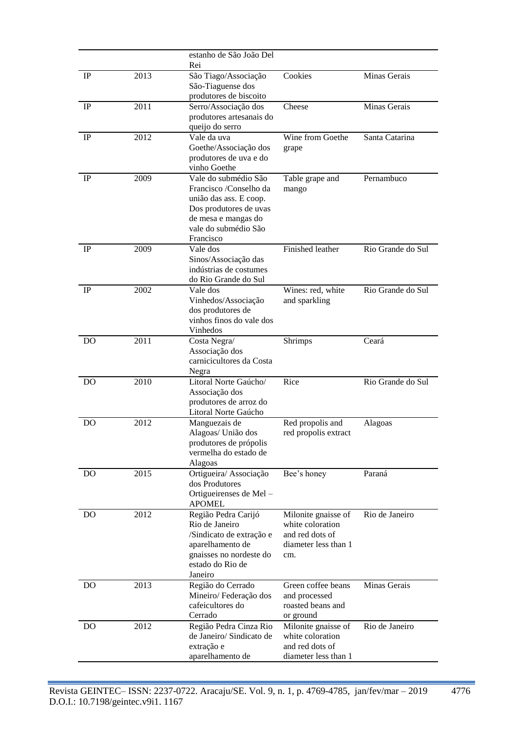|                |      | estanho de São João Del<br>Rei                                                                                                                                 |                                                                                           |                   |
|----------------|------|----------------------------------------------------------------------------------------------------------------------------------------------------------------|-------------------------------------------------------------------------------------------|-------------------|
| IP             | 2013 | São Tiago/Associação<br>São-Tiaguense dos<br>produtores de biscoito                                                                                            | Cookies                                                                                   | Minas Gerais      |
| IP             | 2011 | Serro/Associação dos<br>produtores artesanais do<br>queijo do serro                                                                                            | Cheese                                                                                    | Minas Gerais      |
| IP             | 2012 | Vale da uva<br>Goethe/Associação dos<br>produtores de uva e do<br>vinho Goethe                                                                                 | Wine from Goethe<br>grape                                                                 | Santa Catarina    |
| IP             | 2009 | Vale do submédio São<br>Francisco /Conselho da<br>união das ass. E coop.<br>Dos produtores de uvas<br>de mesa e mangas do<br>vale do submédio São<br>Francisco | Table grape and<br>mango                                                                  | Pernambuco        |
| IP             | 2009 | Vale dos<br>Sinos/Associação das<br>indústrias de costumes<br>do Rio Grande do Sul                                                                             | Finished leather                                                                          | Rio Grande do Sul |
| IP             | 2002 | Vale dos<br>Vinhedos/Associação<br>dos produtores de<br>vinhos finos do vale dos<br>Vinhedos                                                                   | Wines: red, white<br>and sparkling                                                        | Rio Grande do Sul |
| DO             | 2011 | Costa Negra/<br>Associação dos<br>carnicicultores da Costa<br>Negra                                                                                            | Shrimps                                                                                   | Ceará             |
| D <sub>O</sub> | 2010 | Litoral Norte Gaúcho/<br>Associação dos<br>produtores de arroz do<br>Litoral Norte Gaúcho                                                                      | Rice                                                                                      | Rio Grande do Sul |
| DO             | 2012 | Manguezais de<br>Alagoas/ União dos<br>produtores de própolis<br>vermelha do estado de<br>Alagoas                                                              | Red propolis and<br>red propolis extract                                                  | Alagoas           |
| <b>DO</b>      | 2015 | Ortigueira/ Associação<br>dos Produtores<br>Ortigueirenses de Mel-<br><b>APOMEL</b>                                                                            | Bee's honey                                                                               | Paraná            |
| <b>DO</b>      | 2012 | Região Pedra Carijó<br>Rio de Janeiro<br>/Sindicato de extração e<br>aparelhamento de<br>gnaisses no nordeste do<br>estado do Rio de<br>Janeiro                | Milonite gnaisse of<br>white coloration<br>and red dots of<br>diameter less than 1<br>cm. | Rio de Janeiro    |
| DO             | 2013 | Região do Cerrado<br>Mineiro/Federação dos<br>cafeicultores do<br>Cerrado                                                                                      | Green coffee beans<br>and processed<br>roasted beans and<br>or ground                     | Minas Gerais      |
| DO             | 2012 | Região Pedra Cinza Rio<br>de Janeiro/ Sindicato de<br>extração e<br>aparelhamento de                                                                           | Milonite gnaisse of<br>white coloration<br>and red dots of<br>diameter less than 1        | Rio de Janeiro    |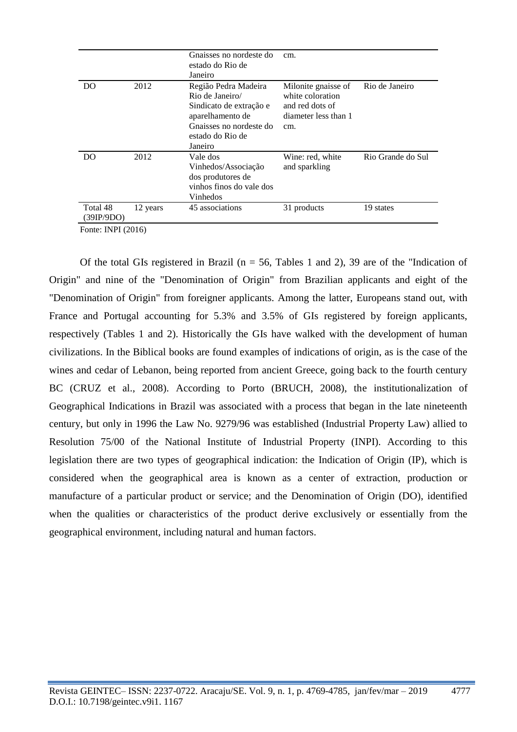|                        |          | Gnaisses no nordeste do<br>estado do Rio de<br>Janeiro                                                                                           | cm.                                                                                       |                   |
|------------------------|----------|--------------------------------------------------------------------------------------------------------------------------------------------------|-------------------------------------------------------------------------------------------|-------------------|
| DO                     | 2012     | Região Pedra Madeira<br>Rio de Janeiro/<br>Sindicato de extração e<br>aparelhamento de<br>Gnaisses no nordeste do<br>estado do Rio de<br>Janeiro | Milonite gnaisse of<br>white coloration<br>and red dots of<br>diameter less than 1<br>cm. | Rio de Janeiro    |
| DO                     | 2012     | Vale dos<br>Vinhedos/Associação<br>dos produtores de<br>vinhos finos do vale dos<br>Vinhedos                                                     | Wine: red, white<br>and sparkling                                                         | Rio Grande do Sul |
| Total 48<br>(39IP/9DO) | 12 years | 45 associations                                                                                                                                  | 31 products                                                                               | 19 states         |

Fonte: INPI (2016)

Of the total GIs registered in Brazil ( $n = 56$ , Tables 1 and 2), 39 are of the "Indication of Origin" and nine of the "Denomination of Origin" from Brazilian applicants and eight of the "Denomination of Origin" from foreigner applicants. Among the latter, Europeans stand out, with France and Portugal accounting for 5.3% and 3.5% of GIs registered by foreign applicants, respectively (Tables 1 and 2). Historically the GIs have walked with the development of human civilizations. In the Biblical books are found examples of indications of origin, as is the case of the wines and cedar of Lebanon, being reported from ancient Greece, going back to the fourth century BC (CRUZ et al., 2008). According to Porto (BRUCH, 2008), the institutionalization of Geographical Indications in Brazil was associated with a process that began in the late nineteenth century, but only in 1996 the Law No. 9279/96 was established (Industrial Property Law) allied to Resolution 75/00 of the National Institute of Industrial Property (INPI). According to this legislation there are two types of geographical indication: the Indication of Origin (IP), which is considered when the geographical area is known as a center of extraction, production or manufacture of a particular product or service; and the Denomination of Origin (DO), identified when the qualities or characteristics of the product derive exclusively or essentially from the geographical environment, including natural and human factors.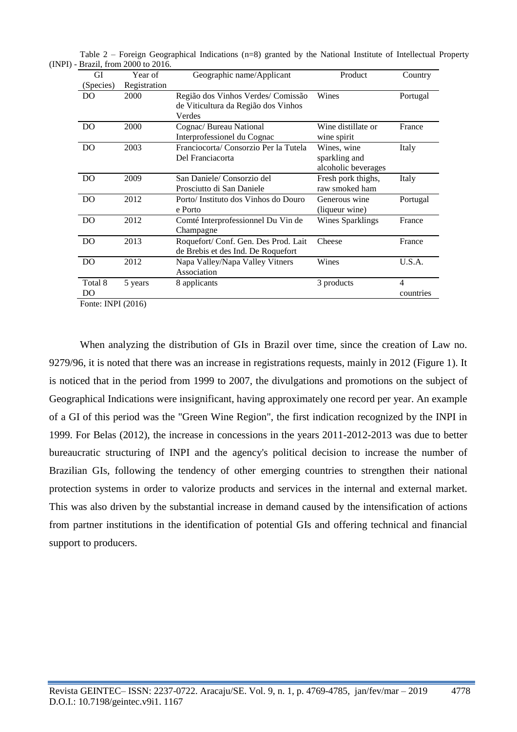| GI                                             | Year of      | Geographic name/Applicant                                                           | Product                                             | Country                               |
|------------------------------------------------|--------------|-------------------------------------------------------------------------------------|-----------------------------------------------------|---------------------------------------|
| (Species)                                      | Registration |                                                                                     |                                                     |                                       |
| DO                                             | 2000         | Região dos Vinhos Verdes/ Comissão<br>de Viticultura da Região dos Vinhos<br>Verdes | Wines                                               | Portugal                              |
| D <sub>O</sub>                                 | 2000         | Cognac/ Bureau National<br>Interprofessionel du Cognac                              | Wine distillate or<br>wine spirit                   | France                                |
| DO                                             | 2003         | Franciocorta/Consorzio Per la Tutela<br>Del Franciacorta                            | Wines, wine<br>sparkling and<br>alcoholic beverages | Italy                                 |
| D <sub>O</sub>                                 | 2009         | San Daniele/ Consorzio del<br>Prosciutto di San Daniele                             | Fresh pork thighs,<br>raw smoked ham                | Italy                                 |
| D <sub>O</sub>                                 | 2012         | Porto/Instituto dos Vinhos do Douro<br>e Porto                                      | Generous wine<br>(liqueur wine)                     | Portugal                              |
| D <sub>O</sub>                                 | 2012         | Comté Interprofessionnel Du Vin de<br>Champagne                                     | <b>Wines Sparklings</b>                             | France                                |
| D <sub>O</sub>                                 | 2013         | Roquefort/ Conf. Gen. Des Prod. Lait<br>de Brebis et des Ind. De Roquefort          | Cheese                                              | France                                |
| DO                                             | 2012         | Napa Valley/Napa Valley Vitners<br>Association                                      | Wines                                               | U.S.A.                                |
| Total 8<br>DO<br>$L_{\text{onto}}$ INDI (2016) | 5 years      | 8 applicants                                                                        | 3 products                                          | $\overline{\mathcal{A}}$<br>countries |

Table 2 – Foreign Geographical Indications (n=8) granted by the National Institute of Intellectual Property (INPI) - Brazil, from 2000 to 2016.

Fonte: INPI (2016)

When analyzing the distribution of GIs in Brazil over time, since the creation of Law no. 9279/96, it is noted that there was an increase in registrations requests, mainly in 2012 (Figure 1). It is noticed that in the period from 1999 to 2007, the divulgations and promotions on the subject of Geographical Indications were insignificant, having approximately one record per year. An example of a GI of this period was the "Green Wine Region", the first indication recognized by the INPI in 1999. For Belas (2012), the increase in concessions in the years 2011-2012-2013 was due to better bureaucratic structuring of INPI and the agency's political decision to increase the number of Brazilian GIs, following the tendency of other emerging countries to strengthen their national protection systems in order to valorize products and services in the internal and external market. This was also driven by the substantial increase in demand caused by the intensification of actions from partner institutions in the identification of potential GIs and offering technical and financial support to producers.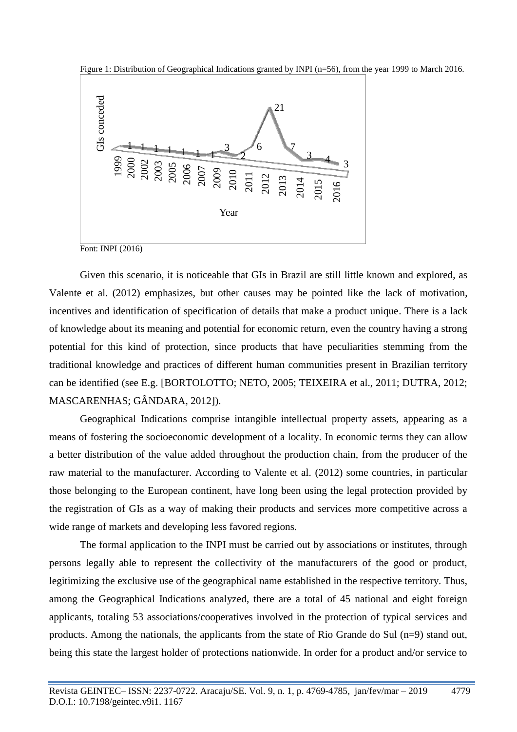

Figure 1: Distribution of Geographical Indications granted by INPI (n=56), from the year 1999 to March 2016.

Font: INPI (2016)

Given this scenario, it is noticeable that GIs in Brazil are still little known and explored, as Valente et al. (2012) emphasizes, but other causes may be pointed like the lack of motivation, incentives and identification of specification of details that make a product unique. There is a lack of knowledge about its meaning and potential for economic return, even the country having a strong potential for this kind of protection, since products that have peculiarities stemming from the traditional knowledge and practices of different human communities present in Brazilian territory can be identified (see E.g. [BORTOLOTTO; NETO, 2005; TEIXEIRA et al., 2011; DUTRA, 2012; MASCARENHAS; GÂNDARA, 2012]).  $\frac{35}{22}$   $\frac{55}{22}$   $\frac{55}{22}$   $\frac{55}{22}$   $\frac{55}{22}$   $\frac{55}{22}$   $\frac{55}{22}$   $\frac{55}{22}$   $\frac{55}{22}$   $\frac{55}{22}$   $\frac{55}{22}$   $\frac{55}{22}$   $\frac{55}{22}$   $\frac{55}{22}$   $\frac{55}{22}$   $\frac{55}{22}$   $\frac{55}{22}$   $\frac{55}{22}$   $\frac{5$ 

Geographical Indications comprise intangible intellectual property assets, appearing as a means of fostering the socioeconomic development of a locality. In economic terms they can allow a better distribution of the value added throughout the production chain, from the producer of the raw material to the manufacturer. According to Valente et al. (2012) some countries, in particular those belonging to the European continent, have long been using the legal protection provided by the registration of GIs as a way of making their products and services more competitive across a wide range of markets and developing less favored regions.

The formal application to the INPI must be carried out by associations or institutes, through persons legally able to represent the collectivity of the manufacturers of the good or product, legitimizing the exclusive use of the geographical name established in the respective territory. Thus, among the Geographical Indications analyzed, there are a total of 45 national and eight foreign applicants, totaling 53 associations/cooperatives involved in the protection of typical services and products. Among the nationals, the applicants from the state of Rio Grande do Sul (n=9) stand out,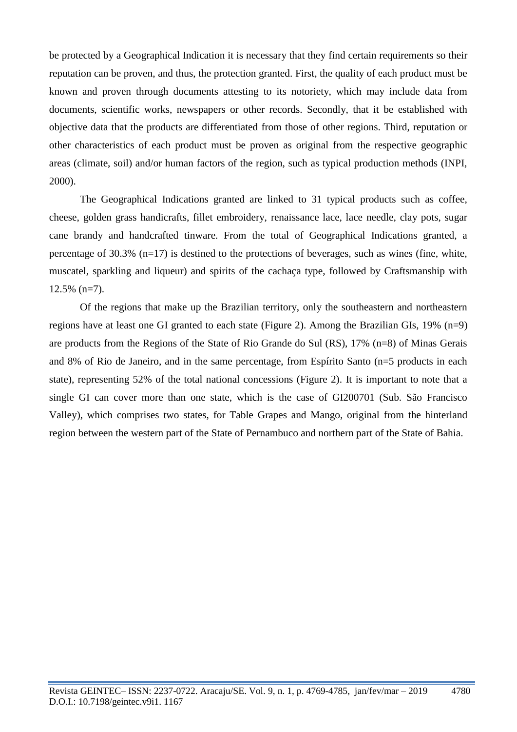be protected by a Geographical Indication it is necessary that they find certain requirements so their reputation can be proven, and thus, the protection granted. First, the quality of each product must be known and proven through documents attesting to its notoriety, which may include data from documents, scientific works, newspapers or other records. Secondly, that it be established with objective data that the products are differentiated from those of other regions. Third, reputation or other characteristics of each product must be proven as original from the respective geographic areas (climate, soil) and/or human factors of the region, such as typical production methods (INPI, 2000).

The Geographical Indications granted are linked to 31 typical products such as coffee, cheese, golden grass handicrafts, fillet embroidery, renaissance lace, lace needle, clay pots, sugar cane brandy and handcrafted tinware. From the total of Geographical Indications granted, a percentage of 30.3%  $(n=17)$  is destined to the protections of beverages, such as wines (fine, white, muscatel, sparkling and liqueur) and spirits of the cachaça type, followed by Craftsmanship with 12.5% (n=7).

Of the regions that make up the Brazilian territory, only the southeastern and northeastern regions have at least one GI granted to each state (Figure 2). Among the Brazilian GIs, 19% (n=9) are products from the Regions of the State of Rio Grande do Sul (RS), 17% (n=8) of Minas Gerais and 8% of Rio de Janeiro, and in the same percentage, from Espírito Santo (n=5 products in each state), representing 52% of the total national concessions (Figure 2). It is important to note that a single GI can cover more than one state, which is the case of GI200701 (Sub. São Francisco Valley), which comprises two states, for Table Grapes and Mango, original from the hinterland region between the western part of the State of Pernambuco and northern part of the State of Bahia.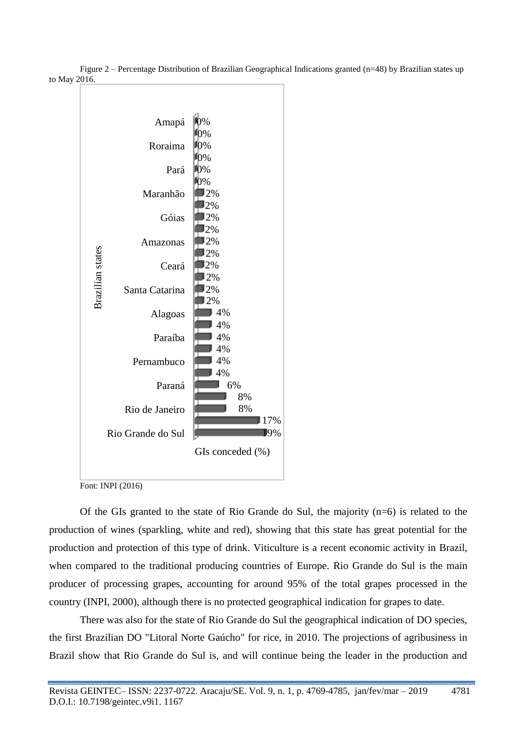

Figure 2 – Percentage Distribution of Brazilian Geographical Indications granted (n=48) by Brazilian states up to May 2016.

Font: INPI (2016)

Of the GIs granted to the state of Rio Grande do Sul, the majority  $(n=6)$  is related to the production of wines (sparkling, white and red), showing that this state has great potential for the production and protection of this type of drink. Viticulture is a recent economic activity in Brazil, when compared to the traditional producing countries of Europe. Rio Grande do Sul is the main producer of processing grapes, accounting for around 95% of the total grapes processed in the country (INPI, 2000), although there is no protected geographical indication for grapes to date.

There was also for the state of Rio Grande do Sul the geographical indication of DO species, the first Brazilian DO "Litoral Norte Gaúcho" for rice, in 2010. The projections of agribusiness in Brazil show that Rio Grande do Sul is, and will continue being the leader in the production and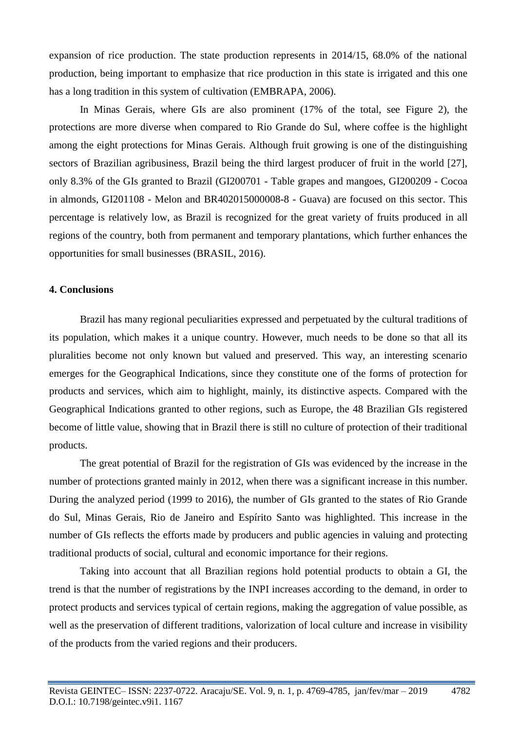expansion of rice production. The state production represents in 2014/15, 68.0% of the national production, being important to emphasize that rice production in this state is irrigated and this one has a long tradition in this system of cultivation (EMBRAPA, 2006).

In Minas Gerais, where GIs are also prominent (17% of the total, see Figure 2), the protections are more diverse when compared to Rio Grande do Sul, where coffee is the highlight among the eight protections for Minas Gerais. Although fruit growing is one of the distinguishing sectors of Brazilian agribusiness, Brazil being the third largest producer of fruit in the world [27], only 8.3% of the GIs granted to Brazil (GI200701 - Table grapes and mangoes, GI200209 - Cocoa in almonds, GI201108 - Melon and BR402015000008-8 - Guava) are focused on this sector. This percentage is relatively low, as Brazil is recognized for the great variety of fruits produced in all regions of the country, both from permanent and temporary plantations, which further enhances the opportunities for small businesses (BRASIL, 2016).

#### **4. Conclusions**

Brazil has many regional peculiarities expressed and perpetuated by the cultural traditions of its population, which makes it a unique country. However, much needs to be done so that all its pluralities become not only known but valued and preserved. This way, an interesting scenario emerges for the Geographical Indications, since they constitute one of the forms of protection for products and services, which aim to highlight, mainly, its distinctive aspects. Compared with the Geographical Indications granted to other regions, such as Europe, the 48 Brazilian GIs registered become of little value, showing that in Brazil there is still no culture of protection of their traditional products.

The great potential of Brazil for the registration of GIs was evidenced by the increase in the number of protections granted mainly in 2012, when there was a significant increase in this number. During the analyzed period (1999 to 2016), the number of GIs granted to the states of Rio Grande do Sul, Minas Gerais, Rio de Janeiro and Espírito Santo was highlighted. This increase in the number of GIs reflects the efforts made by producers and public agencies in valuing and protecting traditional products of social, cultural and economic importance for their regions.

Taking into account that all Brazilian regions hold potential products to obtain a GI, the trend is that the number of registrations by the INPI increases according to the demand, in order to protect products and services typical of certain regions, making the aggregation of value possible, as well as the preservation of different traditions, valorization of local culture and increase in visibility of the products from the varied regions and their producers.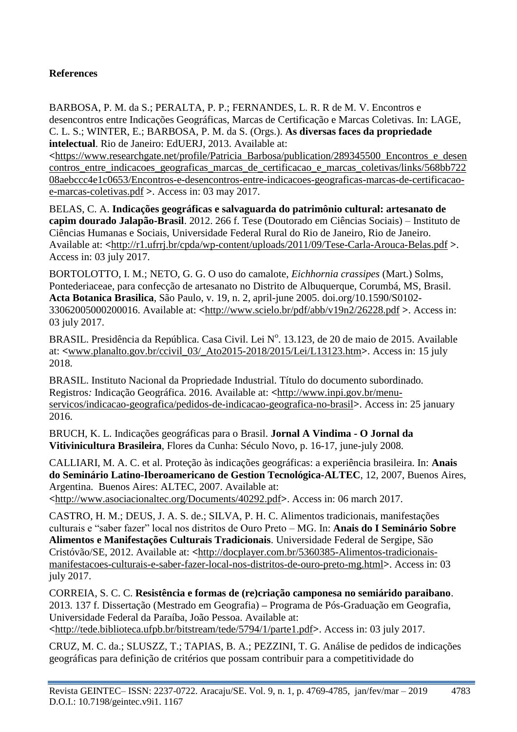# **References**

BARBOSA, P. M. da S.; PERALTA, P. P.; FERNANDES, L. R. R de M. V. Encontros e desencontros entre Indicações Geográficas, Marcas de Certificação e Marcas Coletivas. In: LAGE, C. L. S.; WINTER, E.; BARBOSA, P. M. da S. (Orgs.). **As diversas faces da propriedade intelectual**. Rio de Janeiro: EdUERJ, 2013. Available at:

**<**[https://www.researchgate.net/profile/Patricia\\_Barbosa/publication/289345500\\_Encontros\\_e\\_desen](https://www.researchgate.net/profile/Patricia_Barbosa/publication/289345500_Encontros_e_desencontros_entre_indicacoes_geograficas_marcas_de_certificacao_e_marcas_coletivas/links/568bb72208aebccc4e1c0653/Encontros-e-desencontros-entre-indicacoes-geograficas-marcas-de-certificacao-e-marcas-coletivas.pdf) contros entre indicacoes geograficas marcas de certificacao e marcas coletivas/links/568bb722 [08aebccc4e1c0653/Encontros-e-desencontros-entre-indicacoes-geograficas-marcas-de-certificacao](https://www.researchgate.net/profile/Patricia_Barbosa/publication/289345500_Encontros_e_desencontros_entre_indicacoes_geograficas_marcas_de_certificacao_e_marcas_coletivas/links/568bb72208aebccc4e1c0653/Encontros-e-desencontros-entre-indicacoes-geograficas-marcas-de-certificacao-e-marcas-coletivas.pdf)[e-marcas-coletivas.pdf](https://www.researchgate.net/profile/Patricia_Barbosa/publication/289345500_Encontros_e_desencontros_entre_indicacoes_geograficas_marcas_de_certificacao_e_marcas_coletivas/links/568bb72208aebccc4e1c0653/Encontros-e-desencontros-entre-indicacoes-geograficas-marcas-de-certificacao-e-marcas-coletivas.pdf) **>**. Access in: 03 may 2017.

BELAS, C. A. **Indicações geográficas e salvaguarda do patrimônio cultural: artesanato de capim dourado Jalapão-Brasil**. 2012. 266 f. Tese (Doutorado em Ciências Sociais) – Instituto de Ciências Humanas e Sociais, Universidade Federal Rural do Rio de Janeiro, Rio de Janeiro. Available at: **<**<http://r1.ufrrj.br/cpda/wp-content/uploads/2011/09/Tese-Carla-Arouca-Belas.pdf> **>**. Access in: 03 july 2017.

BORTOLOTTO, I. M.; NETO, G. G. O uso do camalote, *Eichhornia crassipes* (Mart.) Solms, Pontederiaceae, para confecção de artesanato no Distrito de Albuquerque, Corumbá, MS, Brasil. **Acta Botanica Brasilica**, São Paulo, v. 19, n. 2, april-june 2005. doi.org/10.1590/S0102- 33062005000200016. Available at: **<**<http://www.scielo.br/pdf/abb/v19n2/26228.pdf> **>**. Access in: 03 july 2017.

BRASIL. Presidência da República. Casa Civil. Lei Nº. 13.123, de 20 de maio de 2015. Available at: **<**www.planalto.gov.br/ccivil\_03/\_Ato2015-2018/2015/Lei/L13123.htm**>**. Access in: 15 july 2018.

BRASIL. Instituto Nacional da Propriedade Industrial. Título do documento subordinado*.*  Registros*:* Indicação Geográfica. 2016. Available at: **<**[http://www.inpi.gov.br/menu](http://www.inpi.gov.br/menu-servicos/indicacao-geografica/pedidos-de-indicacao-geografica-no-brasil)[servicos/indicacao-geografica/pedidos-de-indicacao-geografica-no-brasil](http://www.inpi.gov.br/menu-servicos/indicacao-geografica/pedidos-de-indicacao-geografica-no-brasil)**>**. Access in: 25 january 2016.

BRUCH, K. L. Indicações geográficas para o Brasil. **Jornal A Vindima - O Jornal da Vitivinicultura Brasileira**, Flores da Cunha: Século Novo, p. 16-17, june-july 2008.

CALLIARI, M. A. C. et al. Proteção às indicações geográficas: a experiência brasileira. In: **Anais do Seminário Latino-Iberoamericano de Gestion Tecnológica-ALTEC**, 12, 2007, Buenos Aires, Argentina. Buenos Aires: ALTEC, 2007. Available at: **<**<http://www.asociacionaltec.org/Documents/40292.pdf>**>**. Access in: 06 march 2017.

CASTRO, H. M.; DEUS, J. A. S. de.; SILVA, P. H. C. Alimentos tradicionais, manifestações culturais e "saber fazer" local nos distritos de Ouro Preto – MG. In: **Anais do I Seminário Sobre Alimentos e Manifestações Culturais Tradicionais**. Universidade Federal de Sergipe, São Cristóvão/SE, 2012. Available at: **<**[http://docplayer.com.br/5360385-Alimentos-tradicionais](http://docplayer.com.br/5360385-Alimentos-tradicionais-manifestacoes-culturais-e-saber-fazer-local-nos-distritos-de-ouro-preto-mg.html)[manifestacoes-culturais-e-saber-fazer-local-nos-distritos-de-ouro-preto-mg.html](http://docplayer.com.br/5360385-Alimentos-tradicionais-manifestacoes-culturais-e-saber-fazer-local-nos-distritos-de-ouro-preto-mg.html)**>**. Access in: 03 july 2017.

CORREIA, S. C. C. **Resistência e formas de (re)criação camponesa no semiárido paraibano**. 2013. 137 f. Dissertação (Mestrado em Geografia) **–** Programa de Pós-Graduação em Geografia, Universidade Federal da Paraíba, João Pessoa. Available at: **<**<http://tede.biblioteca.ufpb.br/bitstream/tede/5794/1/parte1.pdf>**>**. Access in: 03 july 2017.

CRUZ, M. C. da.; SLUSZZ, T.; TAPIAS, B. A.; PEZZINI, T. G. Análise de pedidos de indicações geográficas para definição de critérios que possam contribuir para a competitividade do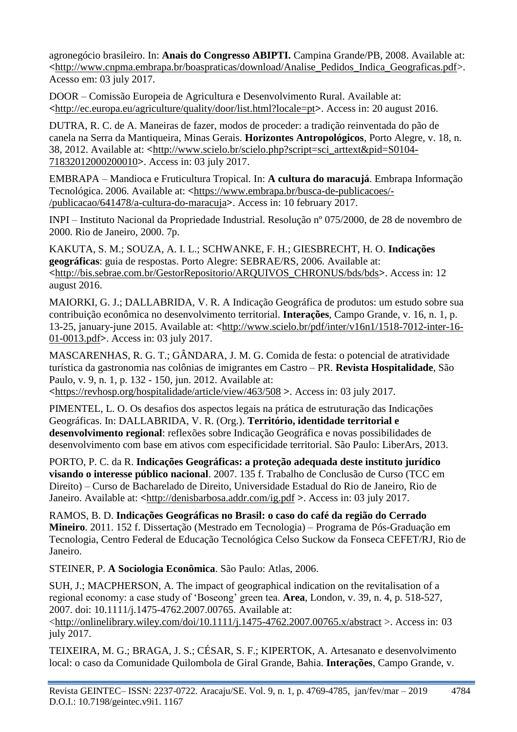agronegócio brasileiro. In: **Anais do Congresso ABIPTI.** Campina Grande/PB, 2008. Available at: **<**[http://www.cnpma.embrapa.br/boaspraticas/download/Analise\\_Pedidos\\_Indica\\_Geograficas.pdf>](http://www.cnpma.embrapa.br/boaspraticas/download/Analise_Pedidos_Indica_Geograficas.pdf). Acesso em: 03 july 2017.

DOOR – Comissão Europeia de Agricultura e Desenvolvimento Rural. Available at: **<**<http://ec.europa.eu/agriculture/quality/door/list.html?locale=pt>**>**. Access in: 20 august 2016.

DUTRA, R. C. de A. Maneiras de fazer, modos de proceder: a tradição reinventada do pão de canela na Serra da Mantiqueira, Minas Gerais. **Horizontes Antropológicos**, Porto Alegre, v. 18, n. 38, 2012. Available at: **<**[http://www.scielo.br/scielo.php?script=sci\\_arttext&pid=S0104-](http://www.scielo.br/scielo.php?script=sci_arttext&pid=S0104-71832012000200010) [71832012000200010](http://www.scielo.br/scielo.php?script=sci_arttext&pid=S0104-71832012000200010)**>**. Access in: 03 july 2017.

EMBRAPA – Mandioca e Fruticultura Tropical. In: **A cultura do maracujá**. Embrapa Informação Tecnológica. 2006. Available at: **<**[https://www.embrapa.br/busca-de-publicacoes/-](https://www.embrapa.br/busca-de-publicacoes/-/publicacao/641478/a-cultura-do-maracuja) [/publicacao/641478/a-cultura-do-maracuja](https://www.embrapa.br/busca-de-publicacoes/-/publicacao/641478/a-cultura-do-maracuja)**>**. Access in: 10 february 2017.

INPI – Instituto Nacional da Propriedade Industrial. Resolução nº 075/2000, de 28 de novembro de 2000. Rio de Janeiro, 2000. 7p.

KAKUTA, S. M.; SOUZA, A. I. L.; SCHWANKE, F. H.; GIESBRECHT, H. O. **Indicações geográficas**: guia de respostas. Porto Alegre: SEBRAE/RS, 2006. Available at: **<**[http://bis.sebrae.com.br/GestorRepositorio/ARQUIVOS\\_CHRONUS/bds/bds](http://bis.sebrae.com.br/GestorRepositorio/ARQUIVOS_CHRONUS/bds/bds)**>**. Access in: 12 august 2016.

MAIORKI, G. J.; DALLABRIDA, V. R. A Indicação Geográfica de produtos: um estudo sobre sua contribuição econômica no desenvolvimento territorial. **Interações**, Campo Grande, v. 16, n. 1, p. 13-25, january-june 2015. Available at: **<**[http://www.scielo.br/pdf/inter/v16n1/1518-7012-inter-16-](http://www.scielo.br/pdf/inter/v16n1/1518-7012-inter-16-01-0013.pdf) [01-0013.pdf](http://www.scielo.br/pdf/inter/v16n1/1518-7012-inter-16-01-0013.pdf)**>**. Access in: 03 july 2017.

MASCARENHAS, R. G. T.; GÂNDARA, J. M. G. Comida de festa: o potencial de atratividade turística da gastronomia nas colônias de imigrantes em Castro – PR. **Revista Hospitalidade**, São Paulo, v. 9, n. 1, p. 132 - 150, jun. 2012. Available at:

**<**<https://revhosp.org/hospitalidade/article/view/463/508> **>**. Access in: 03 july 2017.

PIMENTEL, L. O. Os desafios dos aspectos legais na prática de estruturação das Indicações Geográficas. In: DALLABRIDA, V. R. (Org.). **Território, identidade territorial e desenvolvimento regional**: reflexões sobre Indicação Geográfica e novas possibilidades de desenvolvimento com base em ativos com especificidade territorial. São Paulo: LiberArs, 2013.

PORTO, P. C. da R. **Indicações Geográficas: a proteção adequada deste instituto jurídico visando o interesse público nacional**. 2007. 135 f. Trabalho de Conclusão de Curso (TCC em Direito) – Curso de Bacharelado de Direito, Universidade Estadual do Rio de Janeiro, Rio de Janeiro. Available at: **<**<http://denisbarbosa.addr.com/ig.pdf> **>**. Access in: 03 july 2017.

RAMOS, B. D. **Indicações Geográficas no Brasil: o caso do café da região do Cerrado Mineiro**. 2011. 152 f. Dissertação (Mestrado em Tecnologia) – Programa de Pós-Graduação em Tecnologia, Centro Federal de Educação Tecnológica Celso Suckow da Fonseca CEFET/RJ, Rio de Janeiro.

STEINER, P. **A Sociologia Econômica**. São Paulo: Atlas, 2006.

SUH, J.; MACPHERSON, A. The impact of geographical indication on the revitalisation of a regional economy: a case study of 'Boseong' green tea. **Area**, London, v. 39, n. 4, p. 518-527, 2007. doi: 10.1111/j.1475-4762.2007.00765. Available at:

[<http://onlinelibrary.wiley.com/doi/10.1111/j.1475-4762.2007.00765.x/abstract](http://onlinelibrary.wiley.com/doi/10.1111/j.1475-4762.2007.00765.x/abstract) >. Access in: 03 july 2017.

TEIXEIRA, M. G.; BRAGA, J. S.; CÉSAR, S. F.; KIPERTOK, A. Artesanato e desenvolvimento local: o caso da Comunidade Quilombola de Giral Grande, Bahia. **Interações**, Campo Grande, v.